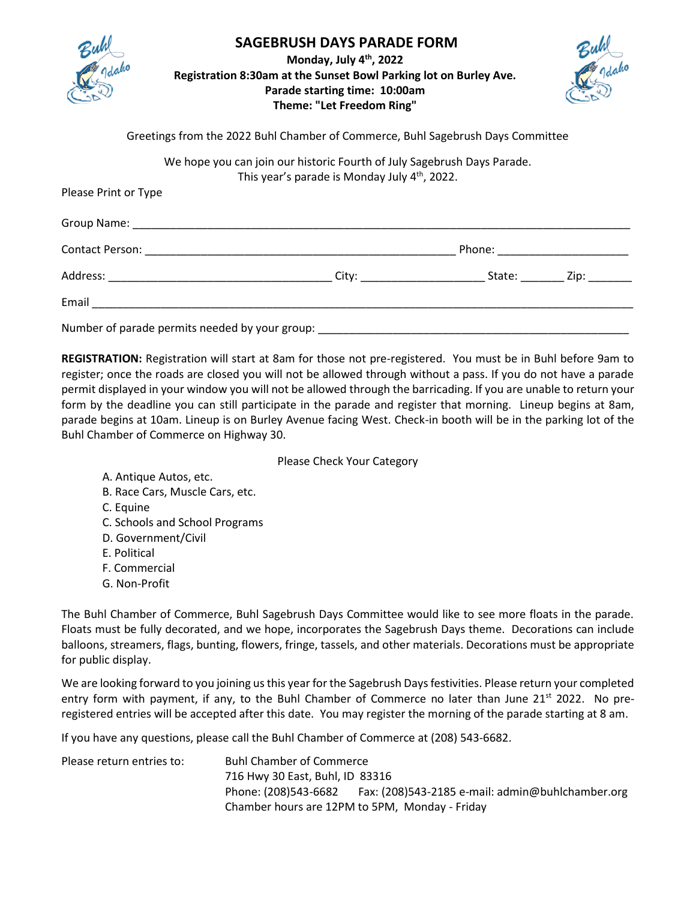| ń |
|---|
|   |

## **SAGEBRUSH DAYS PARADE FORM**

**Monday, July 4th, 2022 Registration 8:30am at the Sunset Bowl Parking lot on Burley Ave. Parade starting time: 10:00am Theme: "Let Freedom Ring"**



Greetings from the 2022 Buhl Chamber of Commerce, Buhl Sagebrush Days Committee

We hope you can join our historic Fourth of July Sagebrush Days Parade. This year's parade is Monday July 4<sup>th</sup>, 2022.

| Please Print or Type                           |  |                                 |
|------------------------------------------------|--|---------------------------------|
|                                                |  |                                 |
|                                                |  | Phone: ________________________ |
|                                                |  |                                 |
|                                                |  |                                 |
| Number of parade permits needed by your group: |  |                                 |

**REGISTRATION:** Registration will start at 8am for those not pre-registered. You must be in Buhl before 9am to register; once the roads are closed you will not be allowed through without a pass. If you do not have a parade permit displayed in your window you will not be allowed through the barricading. If you are unable to return your form by the deadline you can still participate in the parade and register that morning. Lineup begins at 8am, parade begins at 10am. Lineup is on Burley Avenue facing West. Check-in booth will be in the parking lot of the Buhl Chamber of Commerce on Highway 30.

Please Check Your Category

- A. Antique Autos, etc.
- B. Race Cars, Muscle Cars, etc.
- C. Equine
- C. Schools and School Programs
- D. Government/Civil
- E. Political
- F. Commercial
- G. Non-Profit

The Buhl Chamber of Commerce, Buhl Sagebrush Days Committee would like to see more floats in the parade. Floats must be fully decorated, and we hope, incorporates the Sagebrush Days theme. Decorations can include balloons, streamers, flags, bunting, flowers, fringe, tassels, and other materials. Decorations must be appropriate for public display.

We are looking forward to you joining us this year for the Sagebrush Days festivities. Please return your completed entry form with payment, if any, to the Buhl Chamber of Commerce no later than June 21<sup>st</sup> 2022. No preregistered entries will be accepted after this date. You may register the morning of the parade starting at 8 am.

If you have any questions, please call the Buhl Chamber of Commerce at (208) 543-6682.

| Please return entries to: | <b>Buhl Chamber of Commerce</b>                |                                                  |  |
|---------------------------|------------------------------------------------|--------------------------------------------------|--|
|                           | 716 Hwy 30 East, Buhl, ID 83316                |                                                  |  |
|                           | Phone: (208)543-6682                           | Fax: (208)543-2185 e-mail: admin@buhlchamber.org |  |
|                           | Chamber hours are 12PM to 5PM, Monday - Friday |                                                  |  |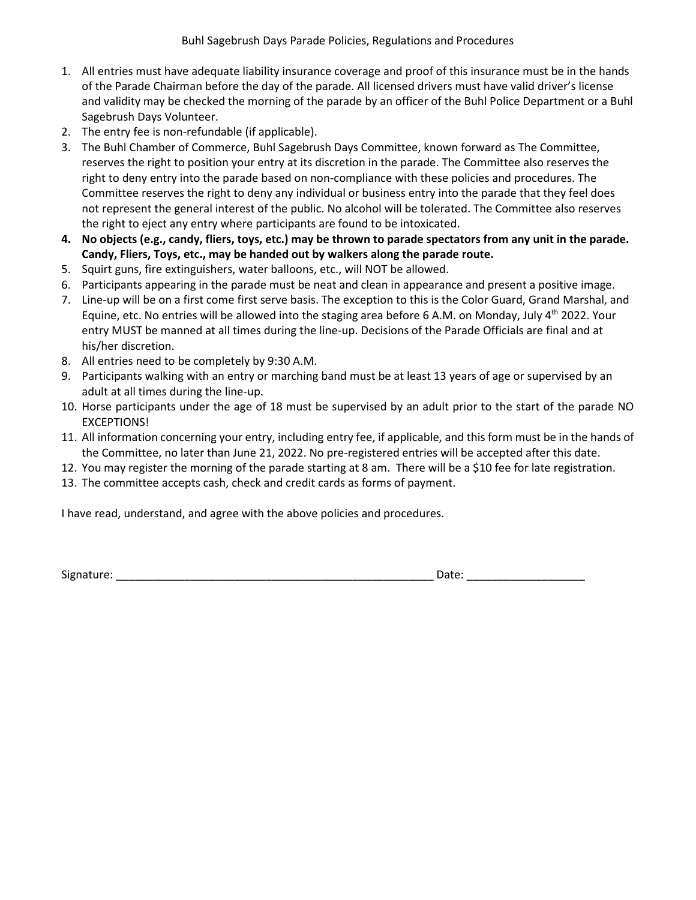- 1. All entries must have adequate liability insurance coverage and proof of this insurance must be in the hands of the Parade Chairman before the day of the parade. All licensed drivers must have valid driver's license and validity may be checked the morning of the parade by an officer of the Buhl Police Department or a Buhl Sagebrush Days Volunteer.
- 2. The entry fee is non-refundable (if applicable).
- 3. The Buhl Chamber of Commerce, Buhl Sagebrush Days Committee, known forward as The Committee, reserves the right to position your entry at its discretion in the parade. The Committee also reserves the right to deny entry into the parade based on non-compliance with these policies and procedures. The Committee reserves the right to deny any individual or business entry into the parade that they feel does not represent the general interest of the public. No alcohol will be tolerated. The Committee also reserves the right to eject any entry where participants are found to be intoxicated.
- **4. No objects (e.g., candy, fliers, toys, etc.) may be thrown to parade spectators from any unit in the parade. Candy, Fliers, Toys, etc., may be handed out by walkers along the parade route.**
- 5. Squirt guns, fire extinguishers, water balloons, etc., will NOT be allowed.
- 6. Participants appearing in the parade must be neat and clean in appearance and present a positive image.
- 7. Line-up will be on a first come first serve basis. The exception to this is the Color Guard, Grand Marshal, and Equine, etc. No entries will be allowed into the staging area before 6 A.M. on Monday, July 4<sup>th</sup> 2022. Your entry MUST be manned at all times during the line-up. Decisions of the Parade Officials are final and at his/her discretion.
- 8. All entries need to be completely by 9:30 A.M.
- 9. Participants walking with an entry or marching band must be at least 13 years of age or supervised by an adult at all times during the line-up.
- 10. Horse participants under the age of 18 must be supervised by an adult prior to the start of the parade NO EXCEPTIONS!
- 11. All information concerning your entry, including entry fee, if applicable, and this form must be in the hands of the Committee, no later than June 21, 2022. No pre-registered entries will be accepted after this date.
- 12. You may register the morning of the parade starting at 8 am. There will be a \$10 fee for late registration.
- 13. The committee accepts cash, check and credit cards as forms of payment.

I have read, understand, and agree with the above policies and procedures.

Signature: \_\_\_\_\_\_\_\_\_\_\_\_\_\_\_\_\_\_\_\_\_\_\_\_\_\_\_\_\_\_\_\_\_\_\_\_\_\_\_\_\_\_\_\_\_\_\_\_\_\_\_ Date: \_\_\_\_\_\_\_\_\_\_\_\_\_\_\_\_\_\_\_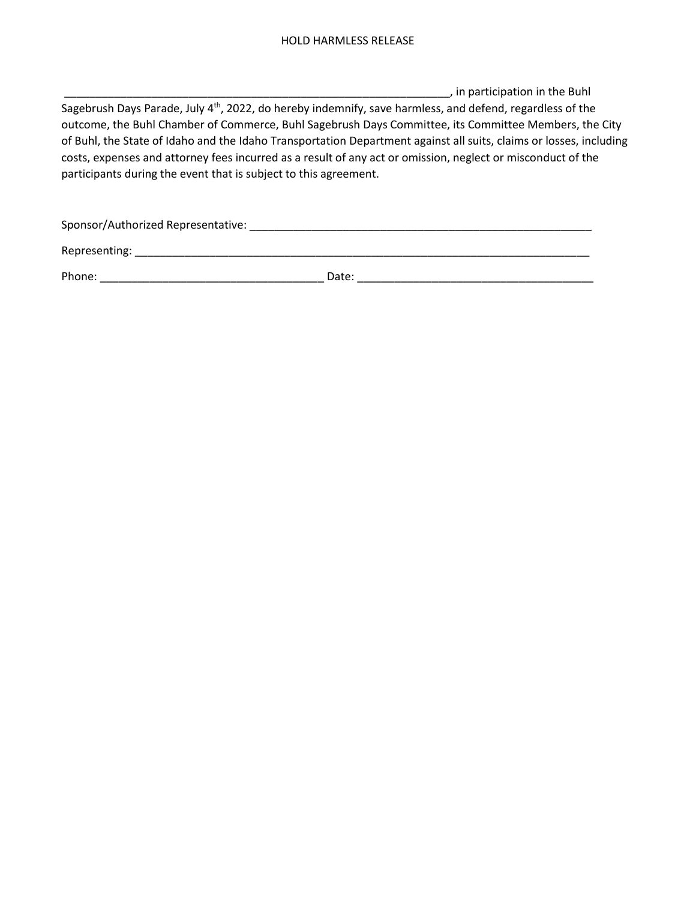\_\_\_\_\_\_\_\_\_\_\_\_\_\_\_\_\_\_\_\_\_\_\_\_\_\_\_\_\_\_\_\_\_\_\_\_\_\_\_\_\_\_\_\_\_\_\_\_\_\_\_\_\_\_\_\_\_\_\_\_\_\_, in participation in the Buhl Sagebrush Days Parade, July 4<sup>th</sup>, 2022, do hereby indemnify, save harmless, and defend, regardless of the outcome, the Buhl Chamber of Commerce, Buhl Sagebrush Days Committee, its Committee Members, the City of Buhl, the State of Idaho and the Idaho Transportation Department against all suits, claims or losses, including costs, expenses and attorney fees incurred as a result of any act or omission, neglect or misconduct of the participants during the event that is subject to this agreement.

| Sponsor/Authorized Representative: |       |
|------------------------------------|-------|
| Representing:                      |       |
| Phone:                             | Date: |